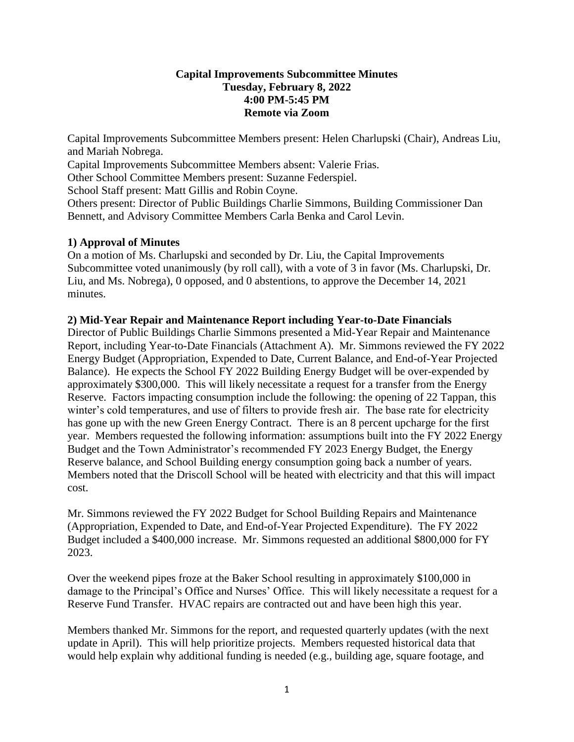### **Capital Improvements Subcommittee Minutes Tuesday, February 8, 2022 4:00 PM-5:45 PM Remote via Zoom**

Capital Improvements Subcommittee Members present: Helen Charlupski (Chair), Andreas Liu, and Mariah Nobrega.

Capital Improvements Subcommittee Members absent: Valerie Frias.

Other School Committee Members present: Suzanne Federspiel.

School Staff present: Matt Gillis and Robin Coyne.

Others present: Director of Public Buildings Charlie Simmons, Building Commissioner Dan Bennett, and Advisory Committee Members Carla Benka and Carol Levin.

# **1) Approval of Minutes**

On a motion of Ms. Charlupski and seconded by Dr. Liu, the Capital Improvements Subcommittee voted unanimously (by roll call), with a vote of 3 in favor (Ms. Charlupski, Dr. Liu, and Ms. Nobrega), 0 opposed, and 0 abstentions, to approve the December 14, 2021 minutes.

# **2) Mid-Year Repair and Maintenance Report including Year-to-Date Financials**

Director of Public Buildings Charlie Simmons presented a Mid-Year Repair and Maintenance Report, including Year-to-Date Financials (Attachment A). Mr. Simmons reviewed the FY 2022 Energy Budget (Appropriation, Expended to Date, Current Balance, and End-of-Year Projected Balance). He expects the School FY 2022 Building Energy Budget will be over-expended by approximately \$300,000. This will likely necessitate a request for a transfer from the Energy Reserve. Factors impacting consumption include the following: the opening of 22 Tappan, this winter's cold temperatures, and use of filters to provide fresh air. The base rate for electricity has gone up with the new Green Energy Contract. There is an 8 percent upcharge for the first year. Members requested the following information: assumptions built into the FY 2022 Energy Budget and the Town Administrator's recommended FY 2023 Energy Budget, the Energy Reserve balance, and School Building energy consumption going back a number of years. Members noted that the Driscoll School will be heated with electricity and that this will impact cost.

Mr. Simmons reviewed the FY 2022 Budget for School Building Repairs and Maintenance (Appropriation, Expended to Date, and End-of-Year Projected Expenditure). The FY 2022 Budget included a \$400,000 increase. Mr. Simmons requested an additional \$800,000 for FY 2023.

Over the weekend pipes froze at the Baker School resulting in approximately \$100,000 in damage to the Principal's Office and Nurses' Office. This will likely necessitate a request for a Reserve Fund Transfer. HVAC repairs are contracted out and have been high this year.

Members thanked Mr. Simmons for the report, and requested quarterly updates (with the next update in April). This will help prioritize projects. Members requested historical data that would help explain why additional funding is needed (e.g., building age, square footage, and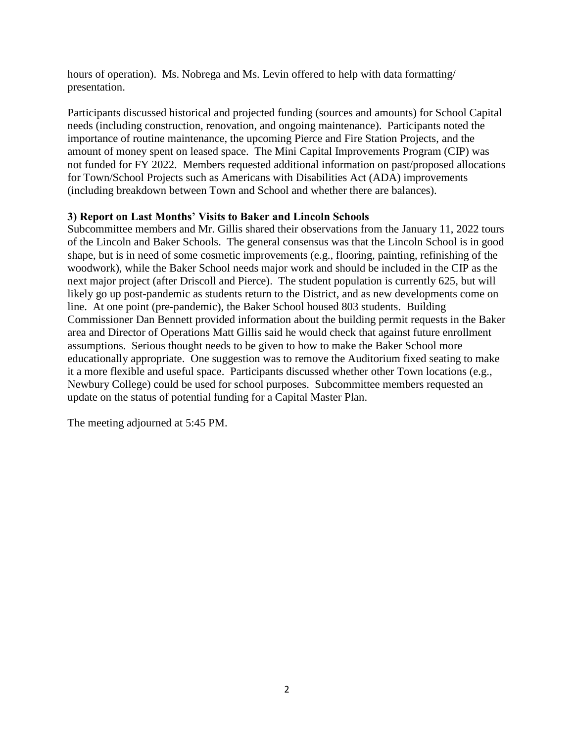hours of operation). Ms. Nobrega and Ms. Levin offered to help with data formatting/ presentation.

Participants discussed historical and projected funding (sources and amounts) for School Capital needs (including construction, renovation, and ongoing maintenance). Participants noted the importance of routine maintenance, the upcoming Pierce and Fire Station Projects, and the amount of money spent on leased space. The Mini Capital Improvements Program (CIP) was not funded for FY 2022. Members requested additional information on past/proposed allocations for Town/School Projects such as Americans with Disabilities Act (ADA) improvements (including breakdown between Town and School and whether there are balances).

### **3) Report on Last Months' Visits to Baker and Lincoln Schools**

Subcommittee members and Mr. Gillis shared their observations from the January 11, 2022 tours of the Lincoln and Baker Schools. The general consensus was that the Lincoln School is in good shape, but is in need of some cosmetic improvements (e.g., flooring, painting, refinishing of the woodwork), while the Baker School needs major work and should be included in the CIP as the next major project (after Driscoll and Pierce). The student population is currently 625, but will likely go up post-pandemic as students return to the District, and as new developments come on line. At one point (pre-pandemic), the Baker School housed 803 students. Building Commissioner Dan Bennett provided information about the building permit requests in the Baker area and Director of Operations Matt Gillis said he would check that against future enrollment assumptions. Serious thought needs to be given to how to make the Baker School more educationally appropriate. One suggestion was to remove the Auditorium fixed seating to make it a more flexible and useful space. Participants discussed whether other Town locations (e.g., Newbury College) could be used for school purposes. Subcommittee members requested an update on the status of potential funding for a Capital Master Plan.

The meeting adjourned at 5:45 PM.